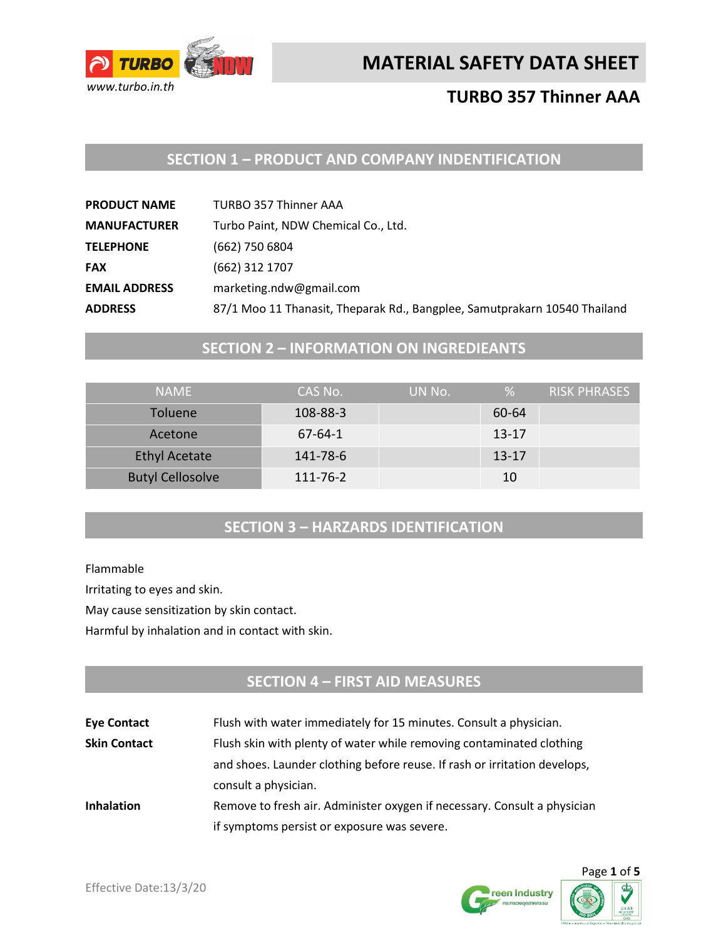

## **TURBO 357 Thinner AAA**

## **SECTION 1 – PRODUCT AND COMPANY INDENTIFICATION**

| <b>PRODUCT NAME</b>  | <b>TURBO 357 Thinner AAA</b>                                              |
|----------------------|---------------------------------------------------------------------------|
| <b>MANUFACTURER</b>  | Turbo Paint, NDW Chemical Co., Ltd.                                       |
| <b>TELEPHONE</b>     | (662) 750 6804                                                            |
| <b>FAX</b>           | (662) 312 1707                                                            |
| <b>EMAIL ADDRESS</b> | marketing.ndw@gmail.com                                                   |
| <b>ADDRESS</b>       | 87/1 Moo 11 Thanasit, Theparak Rd., Bangplee, Samutprakarn 10540 Thailand |

## **SECTION 2 – INFORMATION ON INGREDIEANTS**

| <b>NAMF</b>             | CAS No.   | UN No. | %         | RISK PHRASES |
|-------------------------|-----------|--------|-----------|--------------|
| <b>Toluene</b>          | 108-88-3  |        | 60-64     |              |
| Acetone                 | $67-64-1$ |        | $13 - 17$ |              |
| <b>Ethyl Acetate</b>    | 141-78-6  |        | $13 - 17$ |              |
| <b>Butyl Cellosolve</b> | 111-76-2  |        | 10        |              |

## **SECTION 3 – HARZARDS IDENTIFICATION**

Flammable

Irritating to eyes and skin.

May cause sensitization by skin contact.

Harmful by inhalation and in contact with skin.

## **SECTION 4 – FIRST AID MEASURES**

| <b>Eye Contact</b>  | Flush with water immediately for 15 minutes. Consult a physician.         |
|---------------------|---------------------------------------------------------------------------|
| <b>Skin Contact</b> | Flush skin with plenty of water while removing contaminated clothing      |
|                     | and shoes. Launder clothing before reuse. If rash or irritation develops, |
|                     | consult a physician.                                                      |
| <b>Inhalation</b>   | Remove to fresh air. Administer oxygen if necessary. Consult a physician  |
|                     | if symptoms persist or exposure was severe.                               |



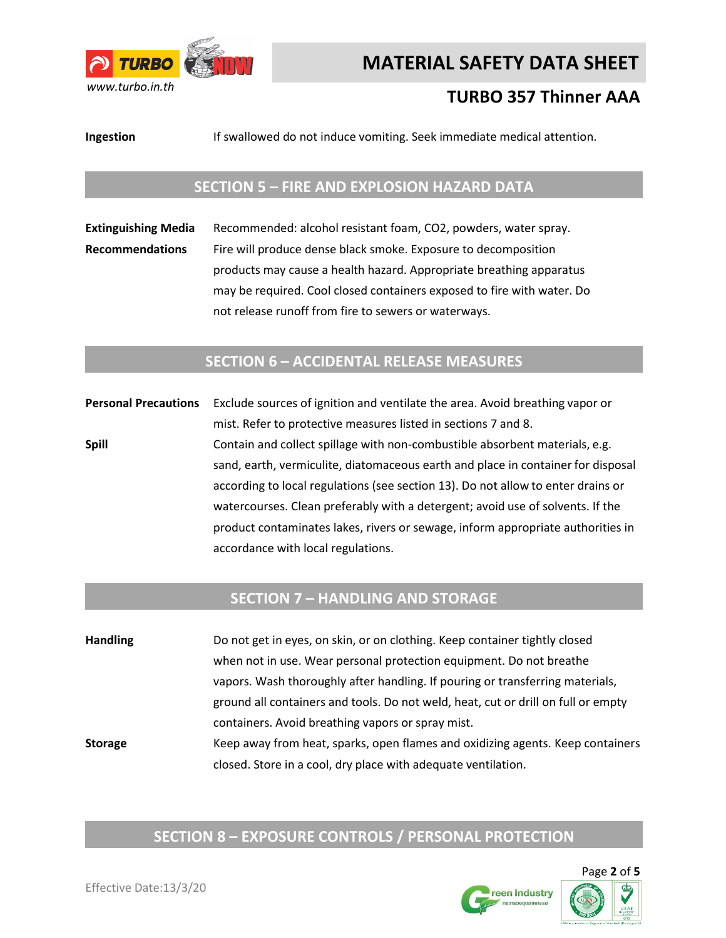

## **TURBO 357 Thinner AAA**

**Ingestion** If swallowed do not induce vomiting. Seek immediate medical attention.

### **SECTION 5 – FIRE AND EXPLOSION HAZARD DATA**

**Extinguishing Media** Recommended: alcohol resistant foam, CO2, powders, water spray. **Recommendations** Fire will produce dense black smoke. Exposure to decomposition products may cause a health hazard. Appropriate breathing apparatus may be required. Cool closed containers exposed to fire with water. Do not release runoff from fire to sewers or waterways.

### **SECTION 6 – ACCIDENTAL RELEASE MEASURES**

**Personal Precautions** Exclude sources of ignition and ventilate the area. Avoid breathing vapor or mist. Refer to protective measures listed in sections 7 and 8. **Spill Spill** Contain and collect spillage with non-combustible absorbent materials, e.g. sand, earth, vermiculite, diatomaceous earth and place in container for disposal according to local regulations (see section 13). Do not allow to enter drains or watercourses. Clean preferably with a detergent; avoid use of solvents. If the product contaminates lakes, rivers or sewage, inform appropriate authorities in accordance with local regulations.

### **SECTION 7 – HANDLING AND STORAGE**

**Handling** Do not get in eyes, on skin, or on clothing. Keep container tightly closed when not in use. Wear personal protection equipment. Do not breathe vapors. Wash thoroughly after handling. If pouring or transferring materials, ground all containers and tools. Do not weld, heat, cut or drill on full or empty containers. Avoid breathing vapors or spray mist. **Storage** Keep away from heat, sparks, open flames and oxidizing agents. Keep containers closed. Store in a cool, dry place with adequate ventilation.

## **SECTION 8 – EXPOSURE CONTROLS / PERSONAL PROTECTION**

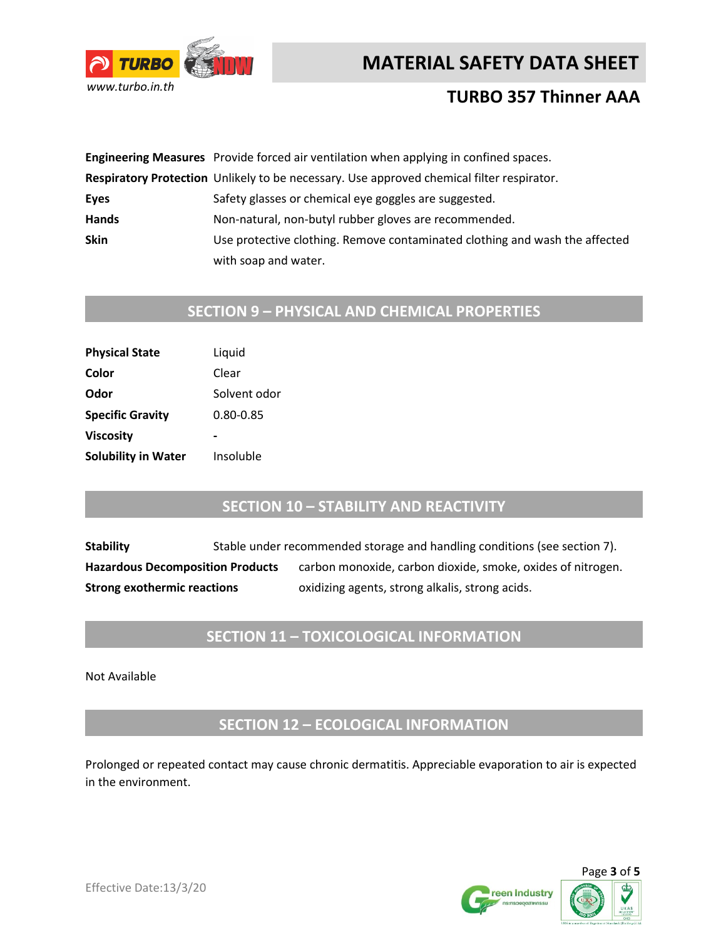



## **TURBO 357 Thinner AAA**

|              | Engineering Measures Provide forced air ventilation when applying in confined spaces.     |
|--------------|-------------------------------------------------------------------------------------------|
|              | Respiratory Protection Unlikely to be necessary. Use approved chemical filter respirator. |
| Eyes         | Safety glasses or chemical eye goggles are suggested.                                     |
| <b>Hands</b> | Non-natural, non-butyl rubber gloves are recommended.                                     |
| <b>Skin</b>  | Use protective clothing. Remove contaminated clothing and wash the affected               |
|              | with soap and water.                                                                      |

# **SECTION 9 – PHYSICAL AND CHEMICAL PROPERTIES**

| Liquid       |
|--------------|
| Clear        |
| Solvent odor |
| 0.80-0.85    |
|              |
| Insoluble    |
|              |

### **SECTION 10 – STABILITY AND REACTIVITY**

**Stability** Stable under recommended storage and handling conditions (see section 7). Hazardous Decomposition Products carbon monoxide, carbon dioxide, smoke, oxides of nitrogen. **Strong exothermic reactions** oxidizing agents, strong alkalis, strong acids.

## **SECTION 11 – TOXICOLOGICAL INFORMATION**

Not Available

**SECTION 12 – ECOLOGICAL INFORMATION**

Prolonged or repeated contact may cause chronic dermatitis. Appreciable evaporation to air is expected in the environment.



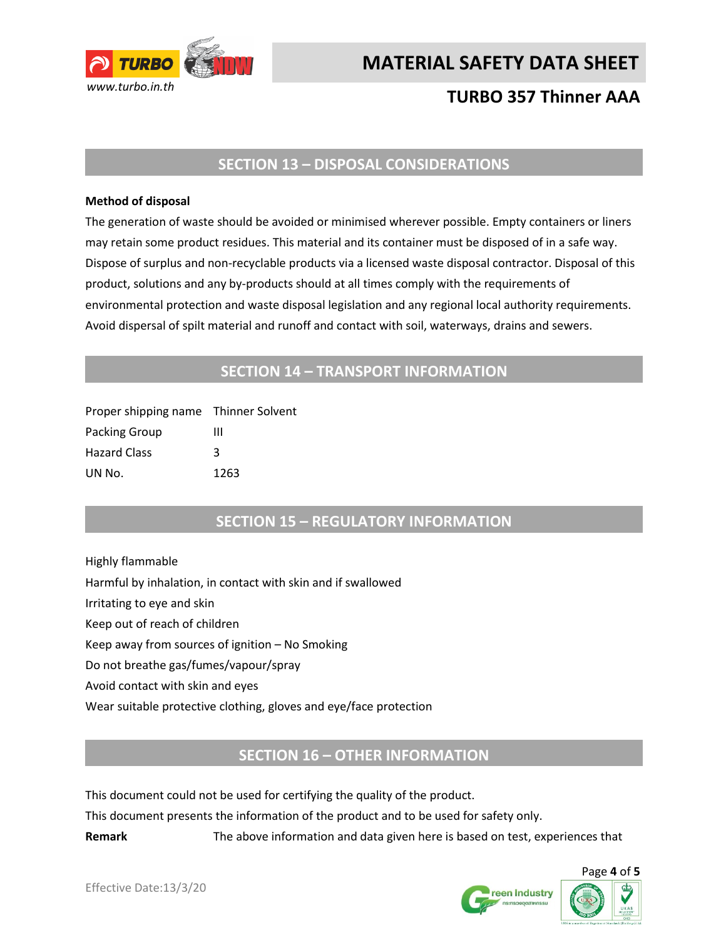

## **TURBO 357 Thinner AAA**

### **SECTION 13 – DISPOSAL CONSIDERATIONS**

#### **Method of disposal**

The generation of waste should be avoided or minimised wherever possible. Empty containers or liners may retain some product residues. This material and its container must be disposed of in a safe way. Dispose of surplus and non-recyclable products via a licensed waste disposal contractor. Disposal of this product, solutions and any by-products should at all times comply with the requirements of environmental protection and waste disposal legislation and any regional local authority requirements. Avoid dispersal of spilt material and runoff and contact with soil, waterways, drains and sewers.

### **SECTION 14 – TRANSPORT INFORMATION**

| Proper shipping name Thinner Solvent |      |
|--------------------------------------|------|
| Packing Group                        | ш    |
| <b>Hazard Class</b>                  | κ    |
| UN No.                               | 1263 |

### **SECTION 15 – REGULATORY INFORMATION**

Highly flammable Harmful by inhalation, in contact with skin and if swallowed Irritating to eye and skin Keep out of reach of children Keep away from sources of ignition – No Smoking Do not breathe gas/fumes/vapour/spray Avoid contact with skin and eyes Wear suitable protective clothing, gloves and eye/face protection

### **SECTION 16 – OTHER INFORMATION**

This document could not be used for certifying the quality of the product.

This document presents the information of the product and to be used for safety only.

**Remark** The above information and data given here is based on test, experiences that